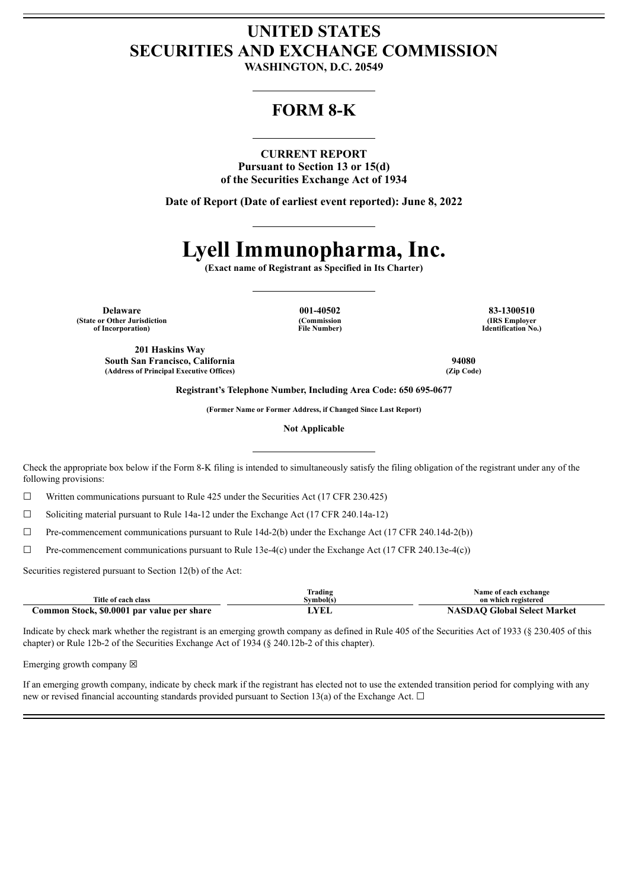## **UNITED STATES SECURITIES AND EXCHANGE COMMISSION**

**WASHINGTON, D.C. 20549**

### **FORM 8-K**

### **CURRENT REPORT**

**Pursuant to Section 13 or 15(d) of the Securities Exchange Act of 1934**

**Date of Report (Date of earliest event reported): June 8, 2022**

# **Lyell Immunopharma, Inc.**

**(Exact name of Registrant as Specified in Its Charter)**

**Delaware 001-40502 83-1300510 (State or Other Jurisdiction of Incorporation)**

**(Commission File Number)**

**(IRS Employer Identification No.)**

**201 Haskins Way South San Francisco, California 94080 (Address of Principal Executive Offices) (Zip Code)**

**Registrant's Telephone Number, Including Area Code: 650 695-0677**

**(Former Name or Former Address, if Changed Since Last Report)**

**Not Applicable**

Check the appropriate box below if the Form 8-K filing is intended to simultaneously satisfy the filing obligation of the registrant under any of the following provisions:

 $\Box$  Written communications pursuant to Rule 425 under the Securities Act (17 CFR 230.425)

 $\Box$  Soliciting material pursuant to Rule 14a-12 under the Exchange Act (17 CFR 240.14a-12)

 $\Box$  Pre-commencement communications pursuant to Rule 14d-2(b) under the Exchange Act (17 CFR 240.14d-2(b))

☐ Pre-commencement communications pursuant to Rule 13e-4(c) under the Exchange Act (17 CFR 240.13e-4(c))

Securities registered pursuant to Section 12(b) of the Act:

| Title of each class                        | Trading<br>Symbol(s) | Name of each exchange<br>on which registered |
|--------------------------------------------|----------------------|----------------------------------------------|
| Common Stock, \$0.0001 par value per share | LYEL                 | <b>NASDAO Global Select Market</b>           |

Indicate by check mark whether the registrant is an emerging growth company as defined in Rule 405 of the Securities Act of 1933 (§ 230.405 of this chapter) or Rule 12b-2 of the Securities Exchange Act of 1934 (§ 240.12b-2 of this chapter).

Emerging growth company  $\boxtimes$ 

If an emerging growth company, indicate by check mark if the registrant has elected not to use the extended transition period for complying with any new or revised financial accounting standards provided pursuant to Section 13(a) of the Exchange Act.  $\Box$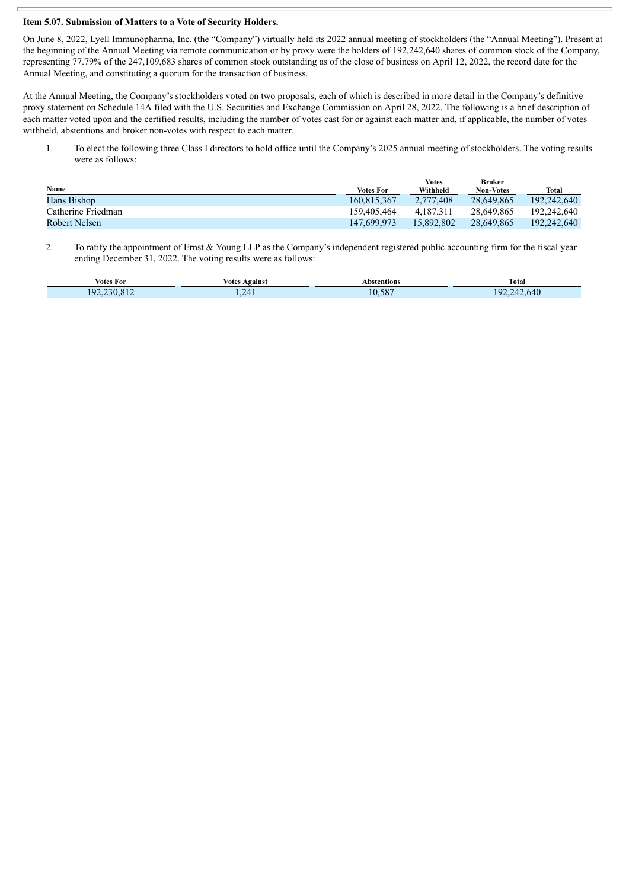#### **Item 5.07. Submission of Matters to a Vote of Security Holders.**

On June 8, 2022, Lyell Immunopharma, Inc. (the "Company") virtually held its 2022 annual meeting of stockholders (the "Annual Meeting"). Present at the beginning of the Annual Meeting via remote communication or by proxy were the holders of 192,242,640 shares of common stock of the Company, representing 77.79% of the 247,109,683 shares of common stock outstanding as of the close of business on April 12, 2022, the record date for the Annual Meeting, and constituting a quorum for the transaction of business.

At the Annual Meeting, the Company's stockholders voted on two proposals, each of which is described in more detail in the Company's definitive proxy statement on Schedule 14A filed with the U.S. Securities and Exchange Commission on April 28, 2022. The following is a brief description of each matter voted upon and the certified results, including the number of votes cast for or against each matter and, if applicable, the number of votes withheld, abstentions and broker non-votes with respect to each matter.

1. To elect the following three Class I directors to hold office until the Company's 2025 annual meeting of stockholders. The voting results were as follows:

|                    |                  | <b>Votes</b> | <b>Broker</b>    |             |
|--------------------|------------------|--------------|------------------|-------------|
| Name               | <b>Votes For</b> | Withheld     | <b>Non-Votes</b> | Total       |
| Hans Bishop        | 160.815.367      | 2.777.408    | 28.649.865       | 192,242,640 |
| Catherine Friedman | 159.405.464      | 4.187.311    | 28.649.865       | 192.242.640 |
| Robert Nelsen      | 147,699,973      | 15.892.802   | 28.649.865       | 192,242,640 |

2. To ratify the appointment of Ernst & Young LLP as the Company's independent registered public accounting firm for the fiscal year ending December 31, 2022. The voting results were as follows:

| Votes For  | Agains<br>Votes | Abstentions<br>.              | Total           |
|------------|-----------------|-------------------------------|-----------------|
| ١q<br>-31) | ν.              | $\sim$ $\sim$<br>$\sim$<br>20 | .640<br>u<br>14 |